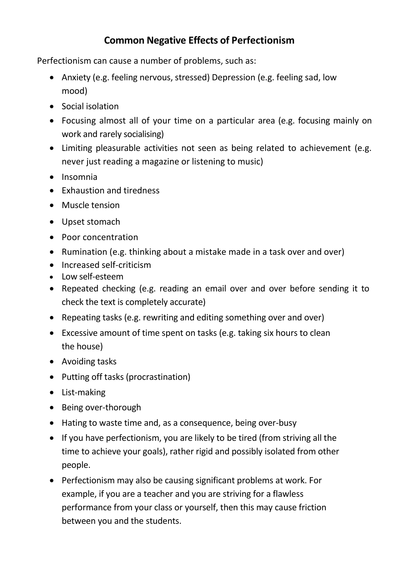## **Common Negative Effects of Perfectionism**

Perfectionism can cause a number of problems, such as:

- Anxiety (e.g. feeling nervous, stressed) Depression (e.g. feeling sad, low mood)
- Social isolation
- Focusing almost all of your time on a particular area (e.g. focusing mainly on work and rarely socialising)
- Limiting pleasurable activities not seen as being related to achievement (e.g. never just reading a magazine or listening to music)
- $\bullet$  Insomnia
- Exhaustion and tiredness
- Muscle tension
- Upset stomach
- Poor concentration
- Rumination (e.g. thinking about a mistake made in a task over and over)
- Increased self-criticism
- Low self-esteem
- Repeated checking (e.g. reading an email over and over before sending it to check the text is completely accurate)
- Repeating tasks (e.g. rewriting and editing something over and over)
- Excessive amount of time spent on tasks (e.g. taking six hours to clean the house)
- Avoiding tasks
- Putting off tasks (procrastination)
- List-making
- Being over-thorough
- Hating to waste time and, as a consequence, being over-busy
- If you have perfectionism, you are likely to be tired (from striving all the time to achieve your goals), rather rigid and possibly isolated from other people.
- Perfectionism may also be causing significant problems at work. For example, if you are a teacher and you are striving for a flawless performance from your class or yourself, then this may cause friction between you and the students.